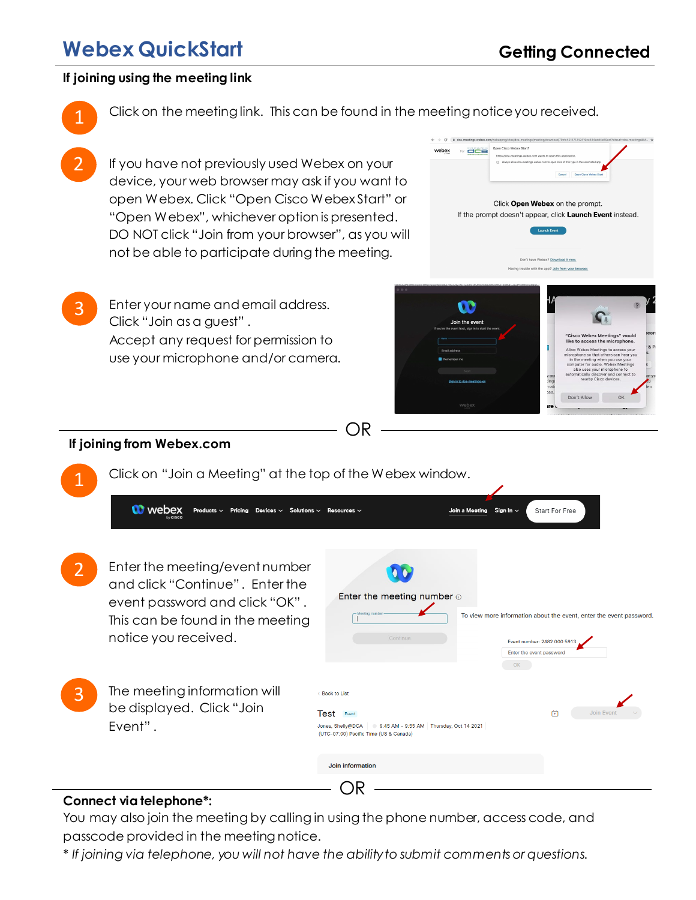# **Webex QuickStart**

#### **If joining using the meeting link**

Click on the meeting link. This can be found in the meeting notice you received.

 $\leftarrow$   $\rightarrow$   $\text{C}$  a dca-me

If you have not previously used Webex on your device, your web browser may ask if you want to open Webex. Click "Open Cisco Webex Start" or "Open Webex", whichever option is presented. DO NOT click "Join from your browser", as you will not be able to participate during the meeting.

3 Enter your name and email address. Click "Join as a guest" . Accept any request for permission to use your microphone and/or camera.



Start For Free

### **If joining from Webex.com**

**W** webex

Click on "Join a Meeting" at the top of the Webex window.

Pricing De

OR

- 2 Enter the meeting/event number and click "Continue" . Enter the event password and click "OK" . This can be found in the meeting notice you received.
- 3 The meeting information will be displayed. Click "Join Event" .

| -Meeting number                                                                                     | To view more information about the event, enter the event password. |
|-----------------------------------------------------------------------------------------------------|---------------------------------------------------------------------|
| Continue                                                                                            | Event number: 2482 000 5913                                         |
|                                                                                                     | Enter the event password                                            |
|                                                                                                     | OK                                                                  |
|                                                                                                     |                                                                     |
| < Back to List                                                                                      |                                                                     |
| <b>Test</b><br>Event                                                                                | <b>Join Event</b><br>凿                                              |
| Jones, Shelly@DCA 3:45 AM - 9:55 AM Thursday, Oct 14 2021<br>(UTC-07:00) Pacific Time (US & Canada) |                                                                     |

.<br>Join a Me

#### **Connect via telephone\*:**

You may also join the meeting by calling in using the phone number, access code, and passcode provided in the meeting notice.

*\* If joining via telephone, you will not have the ability to submit comments or questions.*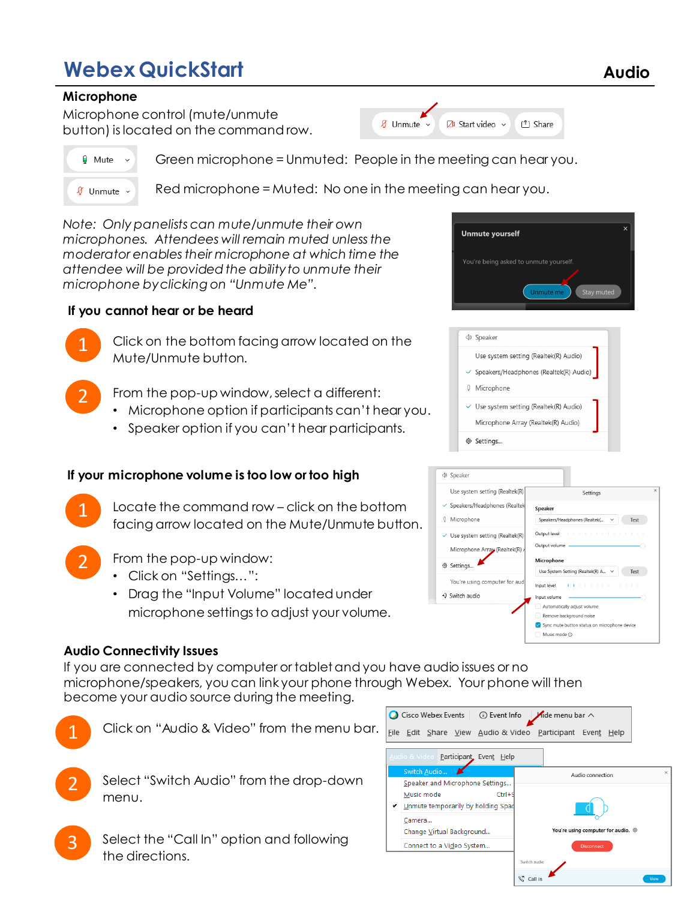# **Webex QuickStart Audio**

### **Microphone**

Microphone control (mute/unmute button) is located on the command row.



Ø Unmute v

Green microphone = Unmuted: People in the meeting can hear you.

 $\delta$  Unmute  $\sim$ 

 $\boxtimes$  Start video  $\sim$ 

Red microphone = Muted: No one in the meeting can hear you.

*Note: Only panelists can mute/unmute their own microphones. Attendees will remain muted unless the moderator enables their microphone at which time the attendee will be provided the ability to unmute their microphone by clicking on "Unmute Me".*

## **If you cannot hear or be heard**

Click on the bottom facing arrow located on the Mute/Unmute button.

- From the pop-up window, select a different:
	- Microphone option if participants can't hear you.
	- Speaker option if you can't hear participants.

# **If your microphone volume is too low or too high**

- Locate the command row click on the bottom facing arrow located on the Mute/Unmute button.
- 

From the pop-up window:

- Click on "Settings...":
- Drag the "Input Volume" located under microphone settings to adjust your volume.

### **Audio Connectivity Issues**

If you are connected by computer or tablet and you have audio issues or no microphone/speakers, you can link your phone through Webex. Your phone will then become your audio source during the meeting.



Select the "Call In" option and following the directions.





<sup>1</sup>] Share

|     | <b>SPEAKER</b>                                      |
|-----|-----------------------------------------------------|
|     | Use system setting (Realtek(R) Audio)               |
|     | $\checkmark$ Speakers/Headphones (Realtek(R) Audio) |
| U   | Microphone                                          |
|     | $\vee$ Use system setting (Realtek(R) Audio)        |
|     | Microphone Array (Realtek(R) Audio)                 |
| 49. | Settinas                                            |